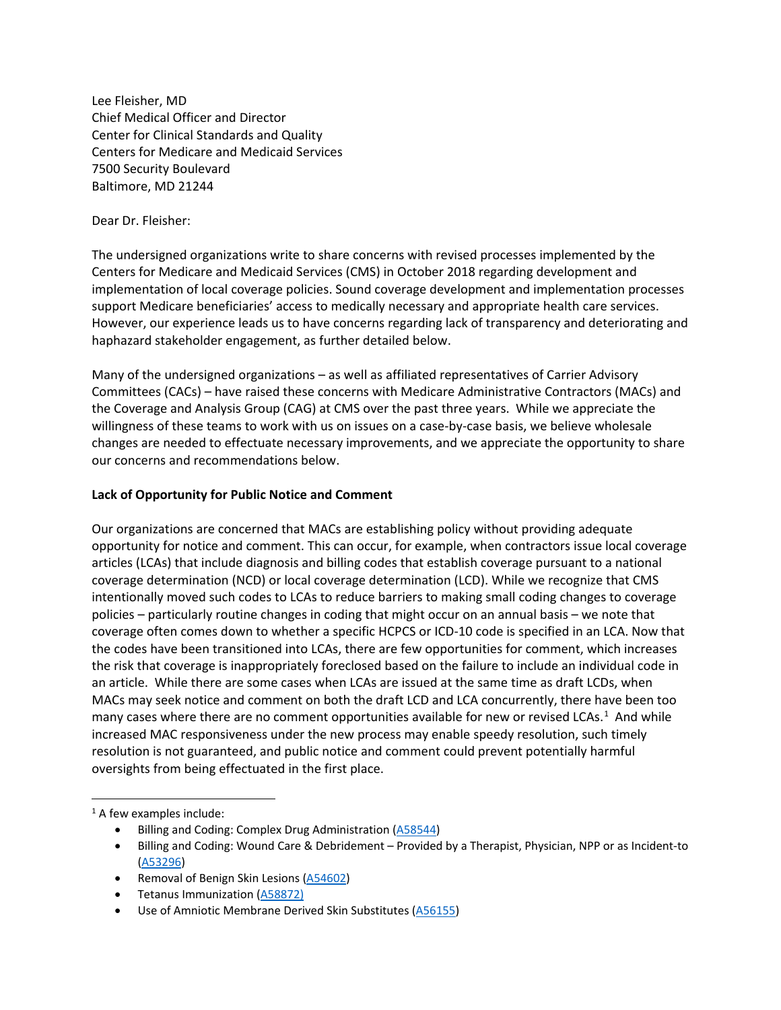Lee Fleisher, MD Chief Medical Officer and Director Center for Clinical Standards and Quality Centers for Medicare and Medicaid Services 7500 Security Boulevard Baltimore, MD 21244

### Dear Dr. Fleisher:

The undersigned organizations write to share concerns with revised processes implemented by the Centers for Medicare and Medicaid Services (CMS) in October 2018 regarding development and implementation of local coverage policies. Sound coverage development and implementation processes support Medicare beneficiaries' access to medically necessary and appropriate health care services. However, our experience leads us to have concerns regarding lack of transparency and deteriorating and haphazard stakeholder engagement, as further detailed below.

Many of the undersigned organizations – as well as affiliated representatives of Carrier Advisory Committees (CACs) – have raised these concerns with Medicare Administrative Contractors (MACs) and the Coverage and Analysis Group (CAG) at CMS over the past three years. While we appreciate the willingness of these teams to work with us on issues on a case-by-case basis, we believe wholesale changes are needed to effectuate necessary improvements, and we appreciate the opportunity to share our concerns and recommendations below.

# **Lack of Opportunity for Public Notice and Comment**

Our organizations are concerned that MACs are establishing policy without providing adequate opportunity for notice and comment. This can occur, for example, when contractors issue local coverage articles (LCAs) that include diagnosis and billing codes that establish coverage pursuant to a national coverage determination (NCD) or local coverage determination (LCD). While we recognize that CMS intentionally moved such codes to LCAs to reduce barriers to making small coding changes to coverage policies – particularly routine changes in coding that might occur on an annual basis – we note that coverage often comes down to whether a specific HCPCS or ICD-10 code is specified in an LCA. Now that the codes have been transitioned into LCAs, there are few opportunities for comment, which increases the risk that coverage is inappropriately foreclosed based on the failure to include an individual code in an article. While there are some cases when LCAs are issued at the same time as draft LCDs, when MACs may seek notice and comment on both the draft LCD and LCA concurrently, there have been too many cases where there are no comment opportunities available for new or revised LCAs.<sup>[1](#page-0-0)</sup> And while increased MAC responsiveness under the new process may enable speedy resolution, such timely resolution is not guaranteed, and public notice and comment could prevent potentially harmful oversights from being effectuated in the first place.

<span id="page-0-0"></span><sup>1</sup> A few examples include:

- Billing and Coding: Complex Drug Administration [\(A58544\)](https://www.cms.gov/medicare-coverage-database/view/article.aspx?articleid=58544&ver=8&bc=0)
- Billing and Coding: Wound Care & Debridement Provided by a Therapist, Physician, NPP or as Incident-to [\(A53296\)](https://www.cms.gov/medicare-coverage-database/view/article.aspx?articleid=53296&ver=11&bc=0)
- Removal of Benign Skin Lesions [\(A54602\)](https://www.cms.gov/medicare-coverage-database/view/article.aspx?articleid=54602&ver=11&bc=0)
- Tetanus Immunization [\(A58872\)](https://www.cms.gov/medicare-coverage-database/view/article.aspx?articleid=58872&ver=4&contractorName=6&updatePeriod=950&sortBy=updated&bc=AAAABAAAAAAAAA)
- Use of Amniotic Membrane Derived Skin Substitutes [\(A56155\)](https://www.cms.gov/medicare-coverage-database/view/article.aspx?articleid=56155&ver=9&bc=0)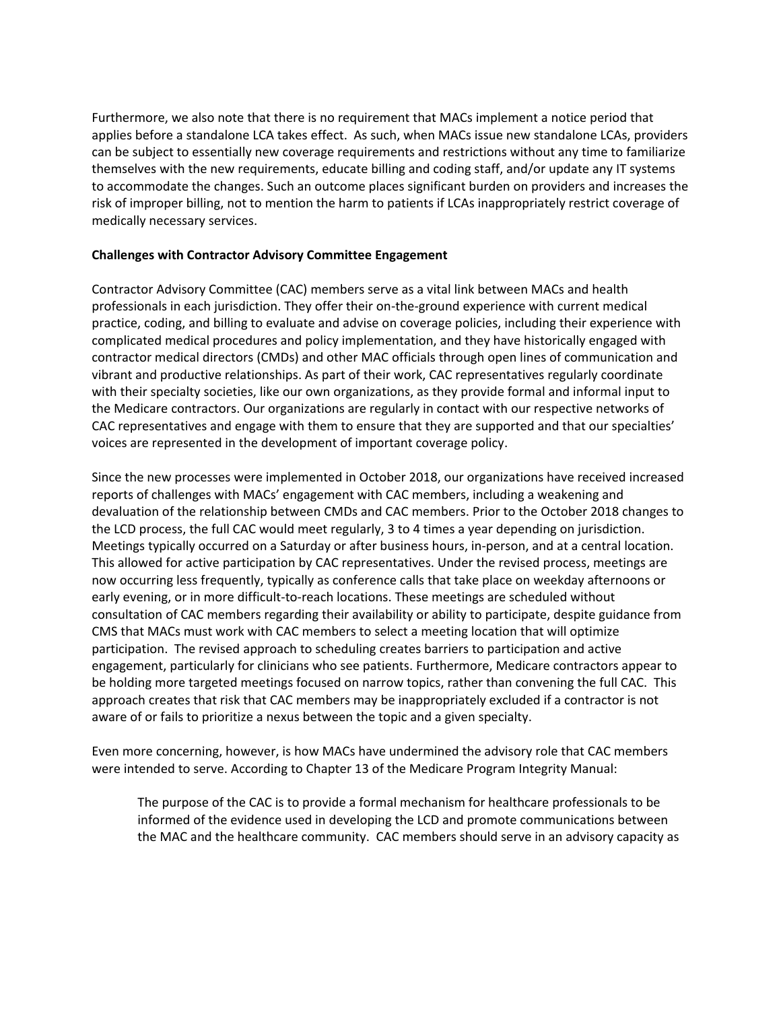Furthermore, we also note that there is no requirement that MACs implement a notice period that applies before a standalone LCA takes effect. As such, when MACs issue new standalone LCAs, providers can be subject to essentially new coverage requirements and restrictions without any time to familiarize themselves with the new requirements, educate billing and coding staff, and/or update any IT systems to accommodate the changes. Such an outcome places significant burden on providers and increases the risk of improper billing, not to mention the harm to patients if LCAs inappropriately restrict coverage of medically necessary services.

# **Challenges with Contractor Advisory Committee Engagement**

Contractor Advisory Committee (CAC) members serve as a vital link between MACs and health professionals in each jurisdiction. They offer their on-the-ground experience with current medical practice, coding, and billing to evaluate and advise on coverage policies, including their experience with complicated medical procedures and policy implementation, and they have historically engaged with contractor medical directors (CMDs) and other MAC officials through open lines of communication and vibrant and productive relationships. As part of their work, CAC representatives regularly coordinate with their specialty societies, like our own organizations, as they provide formal and informal input to the Medicare contractors. Our organizations are regularly in contact with our respective networks of CAC representatives and engage with them to ensure that they are supported and that our specialties' voices are represented in the development of important coverage policy.

Since the new processes were implemented in October 2018, our organizations have received increased reports of challenges with MACs' engagement with CAC members, including a weakening and devaluation of the relationship between CMDs and CAC members. Prior to the October 2018 changes to the LCD process, the full CAC would meet regularly, 3 to 4 times a year depending on jurisdiction. Meetings typically occurred on a Saturday or after business hours, in-person, and at a central location. This allowed for active participation by CAC representatives. Under the revised process, meetings are now occurring less frequently, typically as conference calls that take place on weekday afternoons or early evening, or in more difficult-to-reach locations. These meetings are scheduled without consultation of CAC members regarding their availability or ability to participate, despite guidance from CMS that MACs must work with CAC members to select a meeting location that will optimize participation. The revised approach to scheduling creates barriers to participation and active engagement, particularly for clinicians who see patients. Furthermore, Medicare contractors appear to be holding more targeted meetings focused on narrow topics, rather than convening the full CAC. This approach creates that risk that CAC members may be inappropriately excluded if a contractor is not aware of or fails to prioritize a nexus between the topic and a given specialty.

Even more concerning, however, is how MACs have undermined the advisory role that CAC members were intended to serve. According to Chapter 13 of the Medicare Program Integrity Manual:

The purpose of the CAC is to provide a formal mechanism for healthcare professionals to be informed of the evidence used in developing the LCD and promote communications between the MAC and the healthcare community. CAC members should serve in an advisory capacity as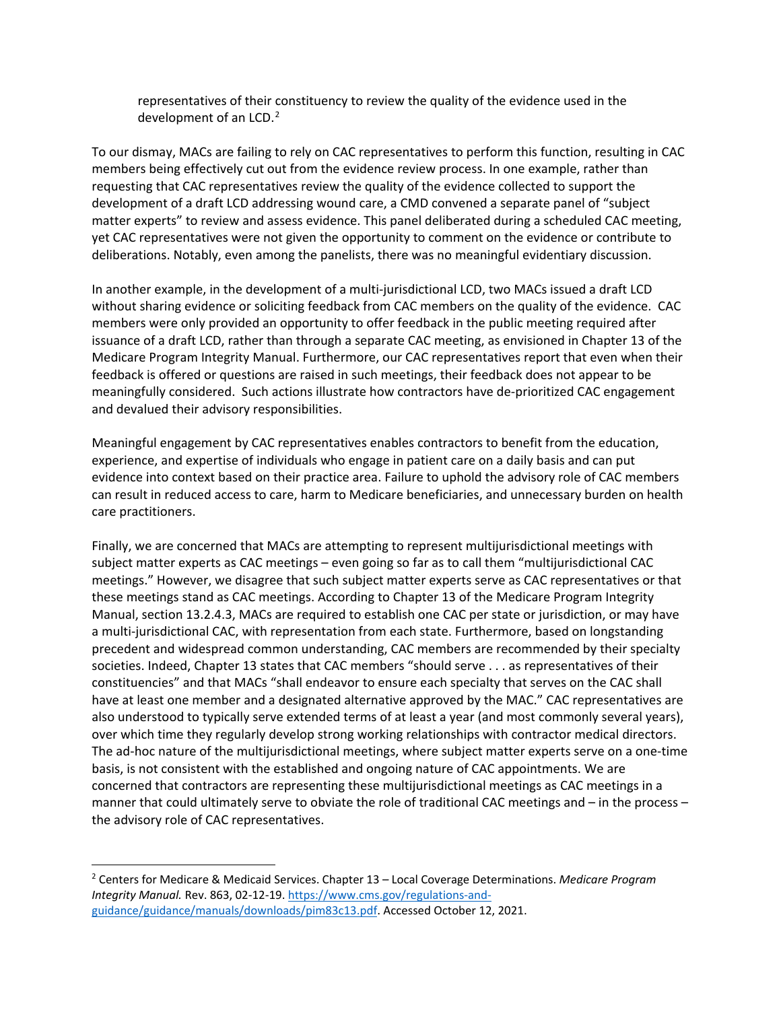representatives of their constituency to review the quality of the evidence used in the development of an LCD.<sup>[2](#page-2-0)</sup>

To our dismay, MACs are failing to rely on CAC representatives to perform this function, resulting in CAC members being effectively cut out from the evidence review process. In one example, rather than requesting that CAC representatives review the quality of the evidence collected to support the development of a draft LCD addressing wound care, a CMD convened a separate panel of "subject matter experts" to review and assess evidence. This panel deliberated during a scheduled CAC meeting, yet CAC representatives were not given the opportunity to comment on the evidence or contribute to deliberations. Notably, even among the panelists, there was no meaningful evidentiary discussion.

In another example, in the development of a multi-jurisdictional LCD, two MACs issued a draft LCD without sharing evidence or soliciting feedback from CAC members on the quality of the evidence. CAC members were only provided an opportunity to offer feedback in the public meeting required after issuance of a draft LCD, rather than through a separate CAC meeting, as envisioned in Chapter 13 of the Medicare Program Integrity Manual. Furthermore, our CAC representatives report that even when their feedback is offered or questions are raised in such meetings, their feedback does not appear to be meaningfully considered. Such actions illustrate how contractors have de-prioritized CAC engagement and devalued their advisory responsibilities.

Meaningful engagement by CAC representatives enables contractors to benefit from the education, experience, and expertise of individuals who engage in patient care on a daily basis and can put evidence into context based on their practice area. Failure to uphold the advisory role of CAC members can result in reduced access to care, harm to Medicare beneficiaries, and unnecessary burden on health care practitioners.

Finally, we are concerned that MACs are attempting to represent multijurisdictional meetings with subject matter experts as CAC meetings – even going so far as to call them "multijurisdictional CAC meetings." However, we disagree that such subject matter experts serve as CAC representatives or that these meetings stand as CAC meetings. According to Chapter 13 of the Medicare Program Integrity Manual, section 13.2.4.3, MACs are required to establish one CAC per state or jurisdiction, or may have a multi-jurisdictional CAC, with representation from each state. Furthermore, based on longstanding precedent and widespread common understanding, CAC members are recommended by their specialty societies. Indeed, Chapter 13 states that CAC members "should serve . . . as representatives of their constituencies" and that MACs "shall endeavor to ensure each specialty that serves on the CAC shall have at least one member and a designated alternative approved by the MAC." CAC representatives are also understood to typically serve extended terms of at least a year (and most commonly several years), over which time they regularly develop strong working relationships with contractor medical directors. The ad-hoc nature of the multijurisdictional meetings, where subject matter experts serve on a one-time basis, is not consistent with the established and ongoing nature of CAC appointments. We are concerned that contractors are representing these multijurisdictional meetings as CAC meetings in a manner that could ultimately serve to obviate the role of traditional CAC meetings and – in the process – the advisory role of CAC representatives.

<span id="page-2-0"></span><sup>2</sup> Centers for Medicare & Medicaid Services. Chapter 13 – Local Coverage Determinations. *Medicare Program Integrity Manual.* Rev. 863, 02-12-19. [https://www.cms.gov/regulations-and](https://www.cms.gov/regulations-and-guidance/guidance/manuals/downloads/pim83c13.pdf)[guidance/guidance/manuals/downloads/pim83c13.pdf.](https://www.cms.gov/regulations-and-guidance/guidance/manuals/downloads/pim83c13.pdf) Accessed October 12, 2021.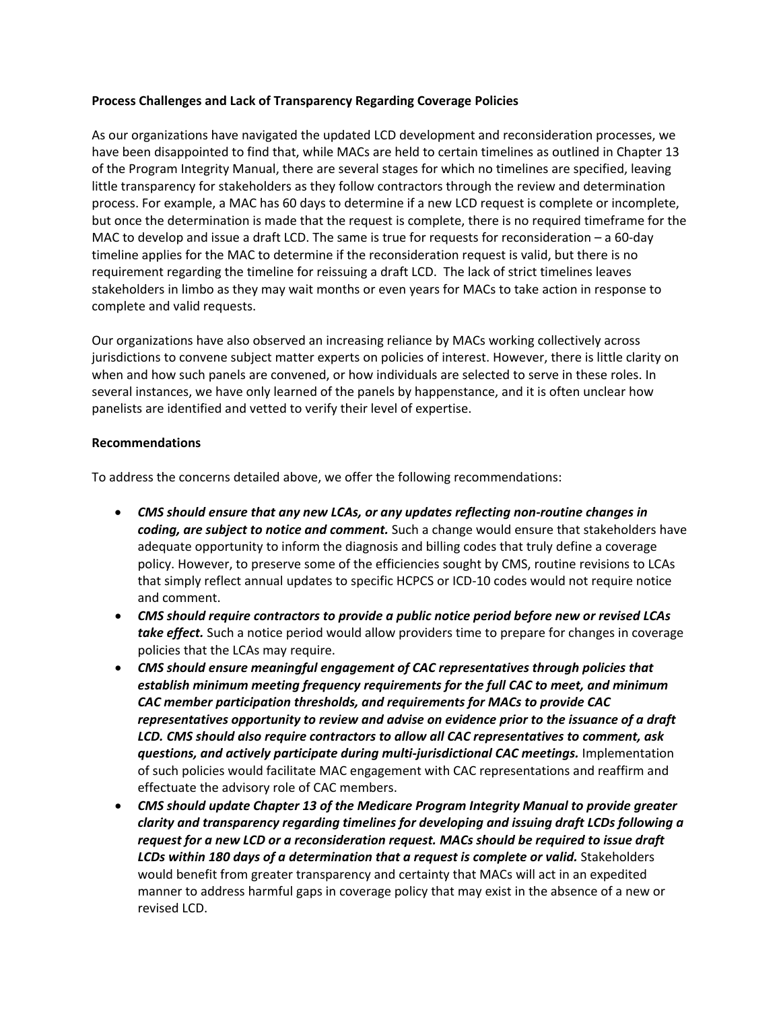### **Process Challenges and Lack of Transparency Regarding Coverage Policies**

As our organizations have navigated the updated LCD development and reconsideration processes, we have been disappointed to find that, while MACs are held to certain timelines as outlined in Chapter 13 of the Program Integrity Manual, there are several stages for which no timelines are specified, leaving little transparency for stakeholders as they follow contractors through the review and determination process. For example, a MAC has 60 days to determine if a new LCD request is complete or incomplete, but once the determination is made that the request is complete, there is no required timeframe for the MAC to develop and issue a draft LCD. The same is true for requests for reconsideration – a 60-day timeline applies for the MAC to determine if the reconsideration request is valid, but there is no requirement regarding the timeline for reissuing a draft LCD. The lack of strict timelines leaves stakeholders in limbo as they may wait months or even years for MACs to take action in response to complete and valid requests.

Our organizations have also observed an increasing reliance by MACs working collectively across jurisdictions to convene subject matter experts on policies of interest. However, there is little clarity on when and how such panels are convened, or how individuals are selected to serve in these roles. In several instances, we have only learned of the panels by happenstance, and it is often unclear how panelists are identified and vetted to verify their level of expertise.

#### **Recommendations**

To address the concerns detailed above, we offer the following recommendations:

- *CMS should ensure that any new LCAs, or any updates reflecting non-routine changes in coding, are subject to notice and comment.* Such a change would ensure that stakeholders have adequate opportunity to inform the diagnosis and billing codes that truly define a coverage policy. However, to preserve some of the efficiencies sought by CMS, routine revisions to LCAs that simply reflect annual updates to specific HCPCS or ICD-10 codes would not require notice and comment.
- *CMS should require contractors to provide a public notice period before new or revised LCAs take effect.* Such a notice period would allow providers time to prepare for changes in coverage policies that the LCAs may require.
- *CMS should ensure meaningful engagement of CAC representatives through policies that establish minimum meeting frequency requirements for the full CAC to meet, and minimum CAC member participation thresholds, and requirements for MACs to provide CAC representatives opportunity to review and advise on evidence prior to the issuance of a draft LCD. CMS should also require contractors to allow all CAC representatives to comment, ask questions, and actively participate during multi-jurisdictional CAC meetings.* **Implementation** of such policies would facilitate MAC engagement with CAC representations and reaffirm and effectuate the advisory role of CAC members.
- *CMS should update Chapter 13 of the Medicare Program Integrity Manual to provide greater clarity and transparency regarding timelines for developing and issuing draft LCDs following a request for a new LCD or a reconsideration request. MACs should be required to issue draft*  LCDs within 180 days of a determination that a request is complete or valid. Stakeholders would benefit from greater transparency and certainty that MACs will act in an expedited manner to address harmful gaps in coverage policy that may exist in the absence of a new or revised LCD.